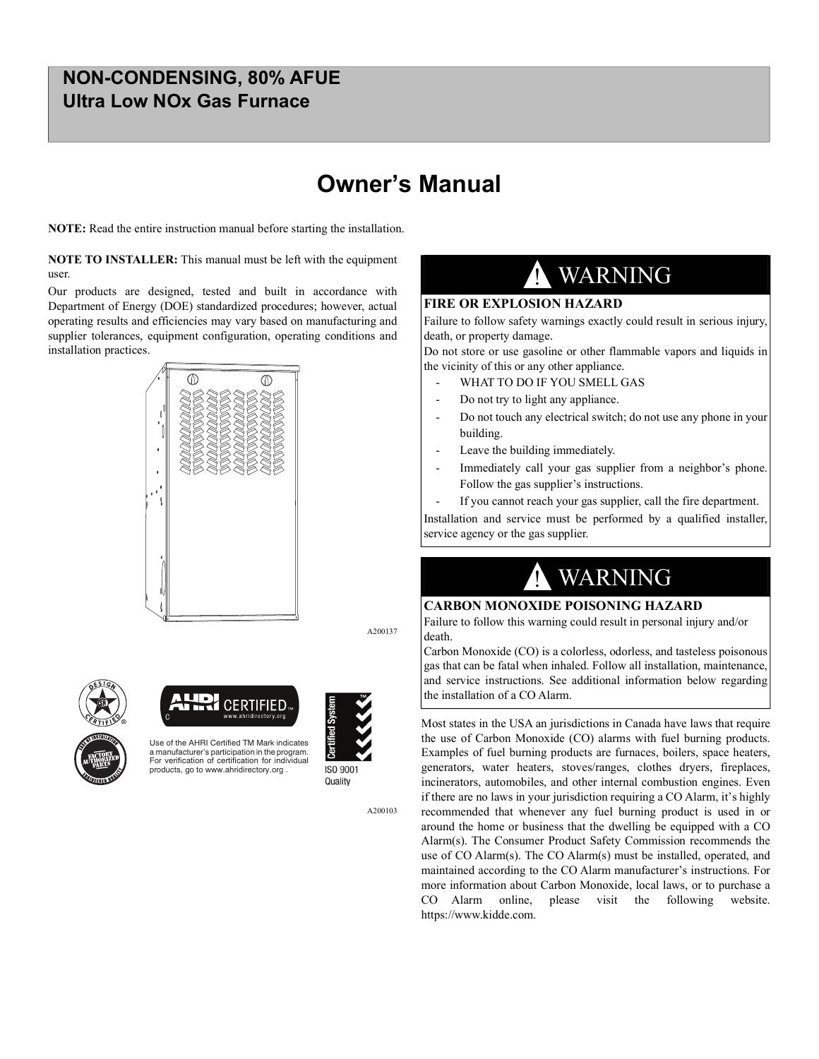## **NON-CONDENSING, 80% AFUE Ultra Low NOx Gas Furnace**

## **Owner's Manual**

**NOTE:** Read the entire instruction manual before starting the installation.

**NOTE TO INSTALLER:** This manual must be left with the equipment user.

Our products are designed, tested and built in accordance with Department of Energy (DOE) standardized procedures; however, actual operating results and efficiencies may vary based on manufacturing and supplier tolerances, equipment configuration, operating conditions and installation practices.



A200137



## **CERTIFIED** Use of the AHRI Certified TM Mark indicates

a manufacturer's participation in the program. For verification of certification for individual products, go to www.ahridirectory.org .



A200103

## ! WARNING

#### <span id="page-0-0"></span>**FIRE OR EXPLOSION HAZARD**

Failure to follow safety warnings exactly could result in serious injury, death, or property damage.

Do not store or use gasoline or other flammable vapors and liquids in the vicinity of this or any other appliance.

- WHAT TO DO IF YOU SMELL GAS
- Do not try to light any appliance.
- Do not touch any electrical switch; do not use any phone in your building.
- Leave the building immediately.
- Immediately call your gas supplier from a neighbor's phone. Follow the gas supplier's instructions.
- If you cannot reach your gas supplier, call the fire department.

Installation and service must be performed by a qualified installer, service agency or the gas supplier.



#### <span id="page-0-1"></span>**CARBON MONOXIDE POISONING HAZARD**

Failure to follow this warning could result in personal injury and/or death.

Carbon Monoxide (CO) is a colorless, odorless, and tasteless poisonous gas that can be fatal when inhaled. Follow all installation, maintenance, and service instructions. See additional information below regarding the installation of a CO Alarm.

Most states in the USA an jurisdictions in Canada have laws that require the use of Carbon Monoxide (CO) alarms with fuel burning products. Examples of fuel burning products are furnaces, boilers, space heaters, generators, water heaters, stoves/ranges, clothes dryers, fireplaces, incinerators, automobiles, and other internal combustion engines. Even if there are no laws in your jurisdiction requiring a CO Alarm, it's highly recommended that whenever any fuel burning product is used in or around the home or business that the dwelling be equipped with a CO Alarm(s). The Consumer Product Safety Commission recommends the use of CO Alarm(s). The CO Alarm(s) must be installed, operated, and maintained according to the CO Alarm manufacturer's instructions. For more information about Carbon Monoxide, local laws, or to purchase a CO Alarm online, please visit the following website. https://www.kidde.com.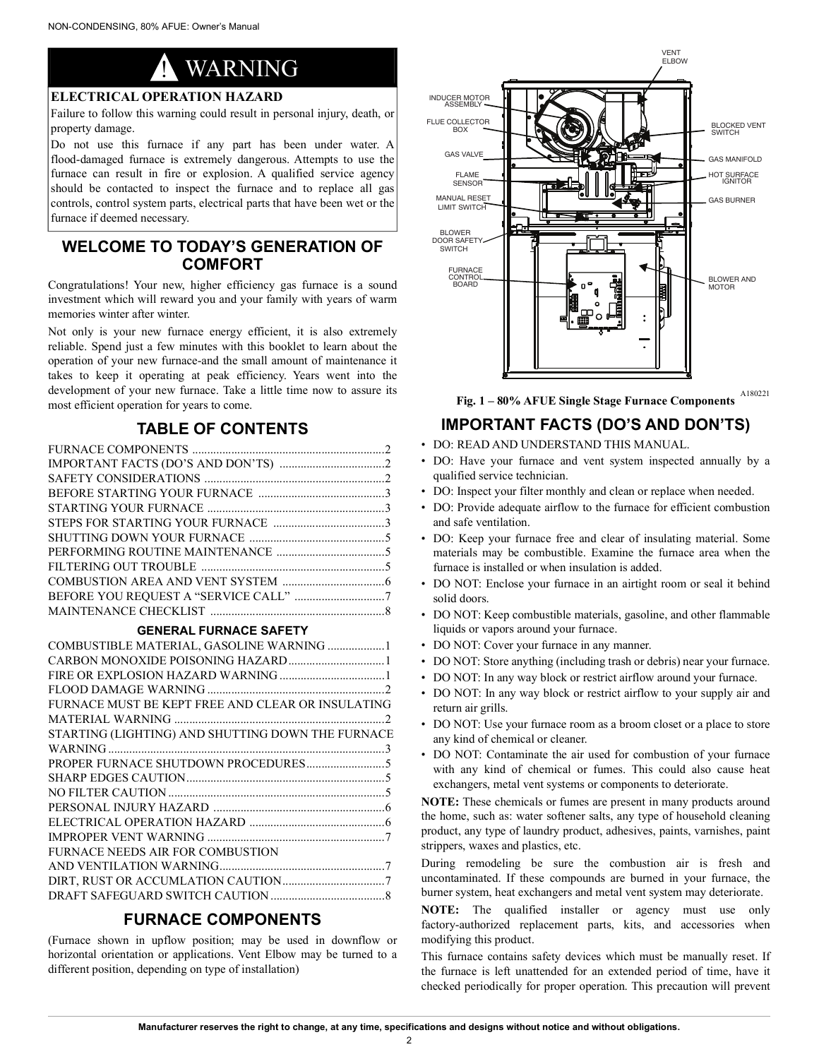# **WARNING**

#### <span id="page-1-3"></span>**ELECTRICAL OPERATION HAZARD**

Failure to follow this warning could result in personal injury, death, or property damage.

Do not use this furnace if any part has been under water. A flood-damaged furnace is extremely dangerous. Attempts to use the furnace can result in fire or explosion. A qualified service agency should be contacted to inspect the furnace and to replace all gas controls, control system parts, electrical parts that have been wet or the furnace if deemed necessary.

### <span id="page-1-0"></span>**WELCOME TO TODAY'S GENERATION OF COMFORT**

Congratulations! Your new, higher efficiency gas furnace is a sound investment which will reward you and your family with years of warm memories winter after winter.

Not only is your new furnace energy efficient, it is also extremely reliable. Spend just a few minutes with this booklet to learn about the operation of your new furnace-and the small amount of maintenance it takes to keep it operating at peak efficiency. Years went into the development of your new furnace. Take a little time now to assure its most efficient operation for years to come.

### **TABLE OF CONTENTS**

#### **GENERAL FURNACE SAFETY**

| COMBUSTIBLE MATERIAL, GASOLINE WARNING 1          |
|---------------------------------------------------|
|                                                   |
|                                                   |
|                                                   |
| FURNACE MUST BE KEPT FREE AND CLEAR OR INSULATING |
|                                                   |
| STARTING (LIGHTING) AND SHUTTING DOWN THE FURNACE |
|                                                   |
|                                                   |
|                                                   |
|                                                   |
|                                                   |
|                                                   |
|                                                   |
| FURNACE NEEDS AIR FOR COMBUSTION                  |
|                                                   |
|                                                   |
|                                                   |
|                                                   |

### **FURNACE COMPONENTS**

<span id="page-1-1"></span>(Furnace shown in upflow position; may be used in downflow or horizontal orientation or applications. Vent Elbow may be turned to a different position, depending on type of installation)



A180221 **Fig. 1 – 80% AFUE Single Stage Furnace Components**

### <span id="page-1-4"></span><span id="page-1-2"></span>**IMPORTANT FACTS (DO'S AND DON'TS)**

- DO: READ AND UNDERSTAND THIS MANUAL.
- DO: Have your furnace and vent system inspected annually by a qualified service technician.
- DO: Inspect your filter monthly and clean or replace when needed.
- DO: Provide adequate airflow to the furnace for efficient combustion and safe ventilation.
- DO: Keep your furnace free and clear of insulating material. Some materials may be combustible. Examine the furnace area when the furnace is installed or when insulation is added.
- DO NOT: Enclose your furnace in an airtight room or seal it behind solid doors.
- DO NOT: Keep combustible materials, gasoline, and other flammable liquids or vapors around your furnace.
- DO NOT: Cover your furnace in any manner.
- DO NOT: Store anything (including trash or debris) near your furnace.
- DO NOT: In any way block or restrict airflow around your furnace.
- DO NOT: In any way block or restrict airflow to your supply air and return air grills.
- DO NOT: Use your furnace room as a broom closet or a place to store any kind of chemical or cleaner.
- DO NOT: Contaminate the air used for combustion of your furnace with any kind of chemical or fumes. This could also cause heat exchangers, metal vent systems or components to deteriorate.

**NOTE:** These chemicals or fumes are present in many products around the home, such as: water softener salts, any type of household cleaning product, any type of laundry product, adhesives, paints, varnishes, paint strippers, waxes and plastics, etc.

During remodeling be sure the combustion air is fresh and uncontaminated. If these compounds are burned in your furnace, the burner system, heat exchangers and metal vent system may deteriorate.

**NOTE:** The qualified installer or agency must use only factory-authorized replacement parts, kits, and accessories when modifying this product.

This furnace contains safety devices which must be manually reset. If the furnace is left unattended for an extended period of time, have it checked periodically for proper operation. This precaution will prevent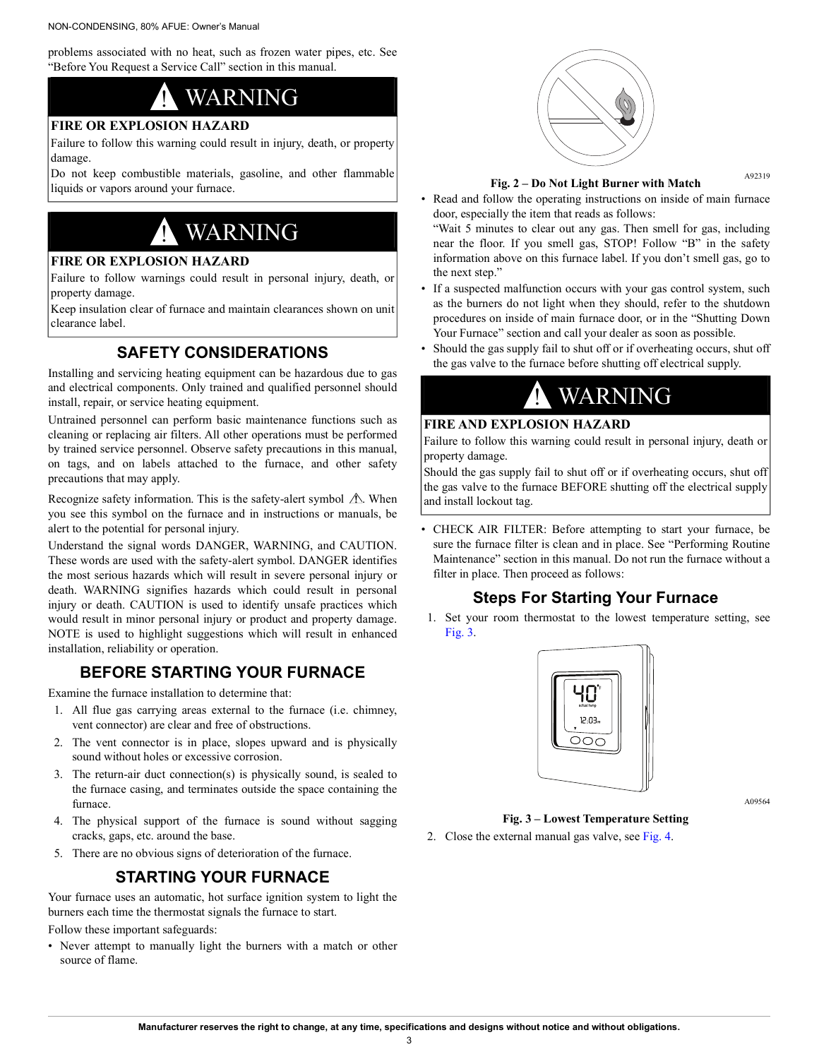problems associated with no heat, such as frozen water pipes, etc. See "Before You Request a Service Call" section in this manual.

# **WARNING**

#### <span id="page-2-6"></span>**FIRE OR EXPLOSION HAZARD**

Failure to follow this warning could result in injury, death, or property damage.

Do not keep combustible materials, gasoline, and other flammable liquids or vapors around your furnace.

# ! WARNING

#### <span id="page-2-0"></span>**FIRE OR EXPLOSION HAZARD**

Failure to follow warnings could result in personal injury, death, or property damage.

Keep insulation clear of furnace and maintain clearances shown on unit clearance label.

## **SAFETY CONSIDERATIONS**

<span id="page-2-1"></span>Installing and servicing heating equipment can be hazardous due to gas and electrical components. Only trained and qualified personnel should install, repair, or service heating equipment.

Untrained personnel can perform basic maintenance functions such as cleaning or replacing air filters. All other operations must be performed by trained service personnel. Observe safety precautions in this manual, on tags, and on labels attached to the furnace, and other safety precautions that may apply.

Recognize safety information. This is the safety-alert symbol  $\triangle$ . When you see this symbol on the furnace and in instructions or manuals, be alert to the potential for personal injury.

Understand the signal words DANGER, WARNING, and CAUTION. These words are used with the safety-alert symbol. DANGER identifies the most serious hazards which will result in severe personal injury or death. WARNING signifies hazards which could result in personal injury or death. CAUTION is used to identify unsafe practices which would result in minor personal injury or product and property damage. NOTE is used to highlight suggestions which will result in enhanced installation, reliability or operation.

## **BEFORE STARTING YOUR FURNACE**

<span id="page-2-2"></span>Examine the furnace installation to determine that:

- 1. All flue gas carrying areas external to the furnace (i.e. chimney, vent connector) are clear and free of obstructions.
- 2. The vent connector is in place, slopes upward and is physically sound without holes or excessive corrosion.
- 3. The return-air duct connection(s) is physically sound, is sealed to the furnace casing, and terminates outside the space containing the furnace.
- 4. The physical support of the furnace is sound without sagging cracks, gaps, etc. around the base.
- <span id="page-2-3"></span>5. There are no obvious signs of deterioration of the furnace.

## **STARTING YOUR FURNACE**

Your furnace uses an automatic, hot surface ignition system to light the burners each time the thermostat signals the furnace to start.

Follow these important safeguards:

• Never attempt to manually light the burners with a match or other source of flame.



A92319 **Fig. 2 – Do Not Light Burner with Match**

• Read and follow the operating instructions on inside of main furnace door, especially the item that reads as follows:

"Wait 5 minutes to clear out any gas. Then smell for gas, including near the floor. If you smell gas, STOP! Follow "B" in the safety information above on this furnace label. If you don't smell gas, go to the next step."

- If a suspected malfunction occurs with your gas control system, such as the burners do not light when they should, refer to the shutdown procedures on inside of main furnace door, or in the "Shutting Down Your Furnace" section and call your dealer as soon as possible.
- Should the gas supply fail to shut off or if overheating occurs, shut off the gas valve to the furnace before shutting off electrical supply.

# ! WARNING

#### <span id="page-2-4"></span>**FIRE AND EXPLOSION HAZARD**

Failure to follow this warning could result in personal injury, death or property damage.

Should the gas supply fail to shut off or if overheating occurs, shut off the gas valve to the furnace BEFORE shutting off the electrical supply and install lockout tag.

• CHECK AIR FILTER: Before attempting to start your furnace, be sure the furnace filter is clean and in place. See "Performing Routine Maintenance" section in this manual. Do not run the furnace without a filter in place. Then proceed as follows:

## **Steps For Starting Your Furnace**

<span id="page-2-5"></span>1. Set your room thermostat to the lowest temperature setting, see [Fig.](#page-2-7) 3.



A09564

**Fig. 3 – Lowest Temperature Setting**

<span id="page-2-7"></span>2. Close the external manual gas valve, see [Fig.](#page-3-0) 4.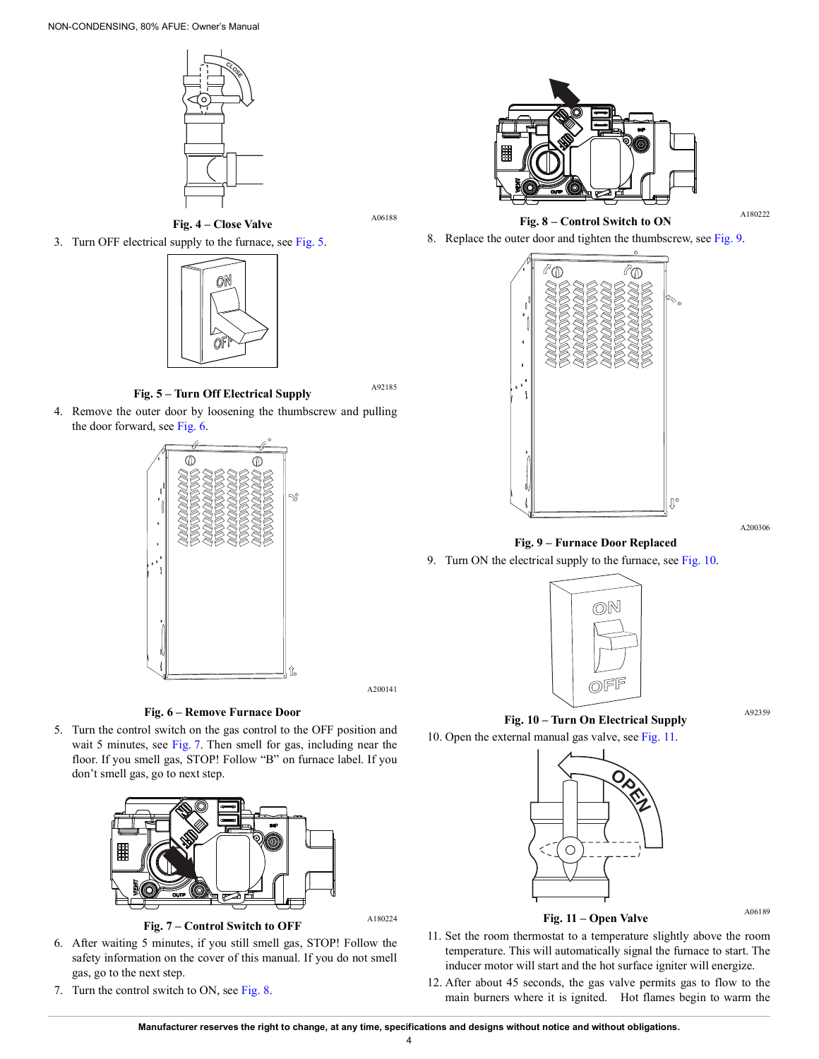

A06188 **Fig. 4 – Close Valve**

<span id="page-3-0"></span>3. Turn OFF electrical supply to the furnace, see [Fig.](#page-3-1) 5.



A92185 **Fig. 5 – Turn Off Electrical Supply**

<span id="page-3-1"></span>4. Remove the outer door by loosening the thumbscrew and pulling the door forward, see [Fig.](#page-3-2) 6.



A200141

**Fig. 6 – Remove Furnace Door**

<span id="page-3-2"></span>5. Turn the control switch on the gas control to the OFF position and wait 5 minutes, see [Fig.](#page-3-3) 7. Then smell for gas, including near the floor. If you smell gas, STOP! Follow "B" on furnace label. If you don't smell gas, go to next step.



A180224 **Fig. 7 – Control Switch to OFF**

- <span id="page-3-3"></span>6. After waiting 5 minutes, if you still smell gas, STOP! Follow the safety information on the cover of this manual. If you do not smell gas, go to the next step.
- 7. Turn the control switch to ON, see [Fig.](#page-3-4) 8.



A180222 **Fig. 8 – Control Switch to ON**

<span id="page-3-4"></span>8. Replace the outer door and tighten the thumbscrew, see [Fig.](#page-3-5) 9.



A200306

**Fig. 9 – Furnace Door Replaced**

<span id="page-3-5"></span>9. Turn ON the electrical supply to the furnace, see [Fig.](#page-3-6) 10.



<span id="page-3-6"></span>10. Open the external manual gas valve, see [Fig.](#page-3-7) 11.



A06189 **Fig. 11 – Open Valve**

- <span id="page-3-7"></span>11. Set the room thermostat to a temperature slightly above the room temperature. This will automatically signal the furnace to start. The inducer motor will start and the hot surface igniter will energize.
- 12. After about 45 seconds, the gas valve permits gas to flow to the main burners where it is ignited. Hot flames begin to warm the

**Manufacturer reserves the right to change, at any time, specifications and designs without notice and without obligations.**

4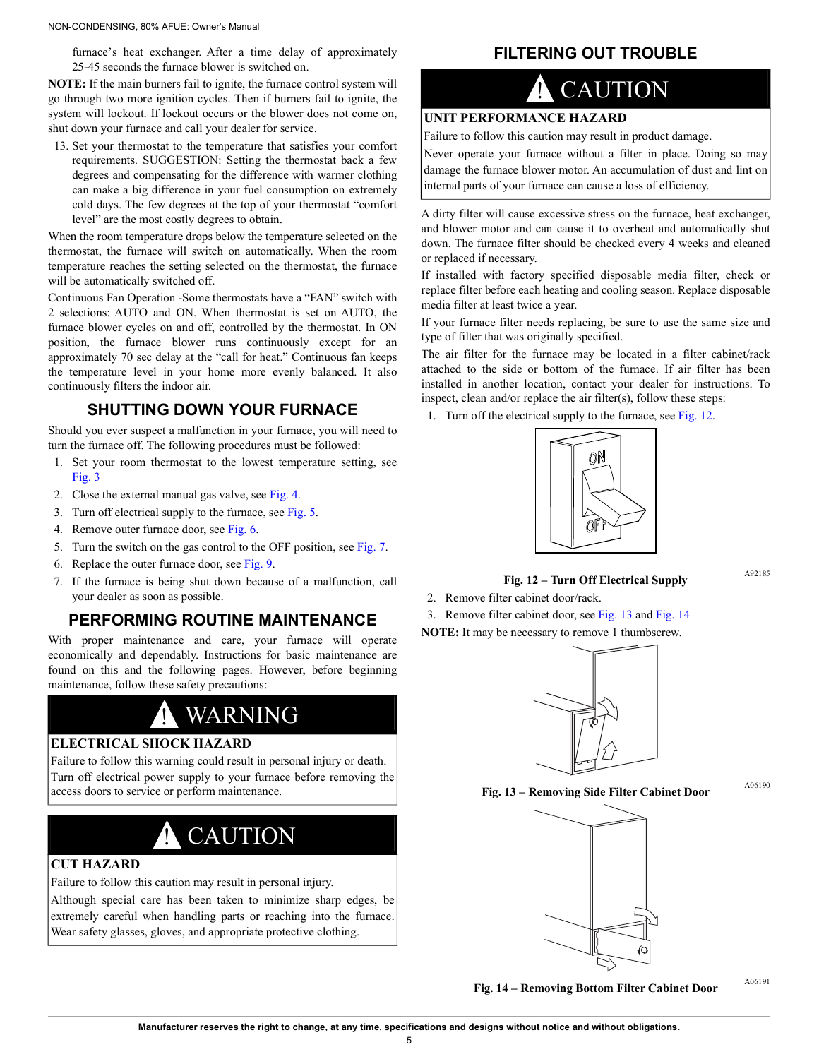furnace's heat exchanger. After a time delay of approximately 25-45 seconds the furnace blower is switched on.

**NOTE:** If the main burners fail to ignite, the furnace control system will go through two more ignition cycles. Then if burners fail to ignite, the system will lockout. If lockout occurs or the blower does not come on, shut down your furnace and call your dealer for service.

13. Set your thermostat to the temperature that satisfies your comfort requirements. SUGGESTION: Setting the thermostat back a few degrees and compensating for the difference with warmer clothing can make a big difference in your fuel consumption on extremely cold days. The few degrees at the top of your thermostat "comfort level" are the most costly degrees to obtain.

When the room temperature drops below the temperature selected on the thermostat, the furnace will switch on automatically. When the room temperature reaches the setting selected on the thermostat, the furnace will be automatically switched off.

Continuous Fan Operation -Some thermostats have a "FAN" switch with 2 selections: AUTO and ON. When thermostat is set on AUTO, the furnace blower cycles on and off, controlled by the thermostat. In ON position, the furnace blower runs continuously except for an approximately 70 sec delay at the "call for heat." Continuous fan keeps the temperature level in your home more evenly balanced. It also continuously filters the indoor air.

### **SHUTTING DOWN YOUR FURNACE**

<span id="page-4-0"></span>Should you ever suspect a malfunction in your furnace, you will need to turn the furnace off. The following procedures must be followed:

- 1. Set your room thermostat to the lowest temperature setting, see [Fig.](#page-2-7) 3
- 2. Close the external manual gas valve, see [Fig.](#page-3-0) 4.
- 3. Turn off electrical supply to the furnace, see [Fig.](#page-3-1) 5.
- 4. Remove outer furnace door, see [Fig.](#page-3-2) 6.
- 5. Turn the switch on the gas control to the OFF position, see [Fig.](#page-3-3) 7.
- 6. Replace the outer furnace door, see [Fig.](#page-3-5) 9.
- 7. If the furnace is being shut down because of a malfunction, call your dealer as soon as possible.

### <span id="page-4-1"></span>**PERFORMING ROUTINE MAINTENANCE**

With proper maintenance and care, your furnace will operate economically and dependably. Instructions for basic maintenance are found on this and the following pages. However, before beginning maintenance, follow these safety precautions:

## **WARNING**

#### <span id="page-4-2"></span>**ELECTRICAL SHOCK HAZARD**

Failure to follow this warning could result in personal injury or death. Turn off electrical power supply to your furnace before removing the access doors to service or perform maintenance.

# **CAUTION**

#### <span id="page-4-3"></span>**CUT HAZARD**

Failure to follow this caution may result in personal injury.

Although special care has been taken to minimize sharp edges, be extremely careful when handling parts or reaching into the furnace. Wear safety glasses, gloves, and appropriate protective clothing.

## **FILTERING OUT TROUBLE**

## **CAUTION**

#### <span id="page-4-5"></span><span id="page-4-4"></span>**UNIT PERFORMANCE HAZARD**

Failure to follow this caution may result in product damage.

Never operate your furnace without a filter in place. Doing so may damage the furnace blower motor. An accumulation of dust and lint on internal parts of your furnace can cause a loss of efficiency.

A dirty filter will cause excessive stress on the furnace, heat exchanger, and blower motor and can cause it to overheat and automatically shut down. The furnace filter should be checked every 4 weeks and cleaned or replaced if necessary.

If installed with factory specified disposable media filter, check or replace filter before each heating and cooling season. Replace disposable media filter at least twice a year.

If your furnace filter needs replacing, be sure to use the same size and type of filter that was originally specified.

The air filter for the furnace may be located in a filter cabinet/rack attached to the side or bottom of the furnace. If air filter has been installed in another location, contact your dealer for instructions. To inspect, clean and/or replace the air filter(s), follow these steps:

1. Turn off the electrical supply to the furnace, see [Fig.](#page-4-6) 12.



## A92185 **Fig. 12 – Turn Off Electrical Supply**

- <span id="page-4-6"></span>2. Remove filter cabinet door/rack.
- 3. Remove filter cabinet door, see [Fig.](#page-4-7) 13 and [Fig.](#page-4-8) 14
- **NOTE:** It may be necessary to remove 1 thumbscrew.



A06190 **Fig. 13 – Removing Side Filter Cabinet Door** 

<span id="page-4-8"></span><span id="page-4-7"></span>

A06191 **Fig. 14 – Removing Bottom Filter Cabinet Door**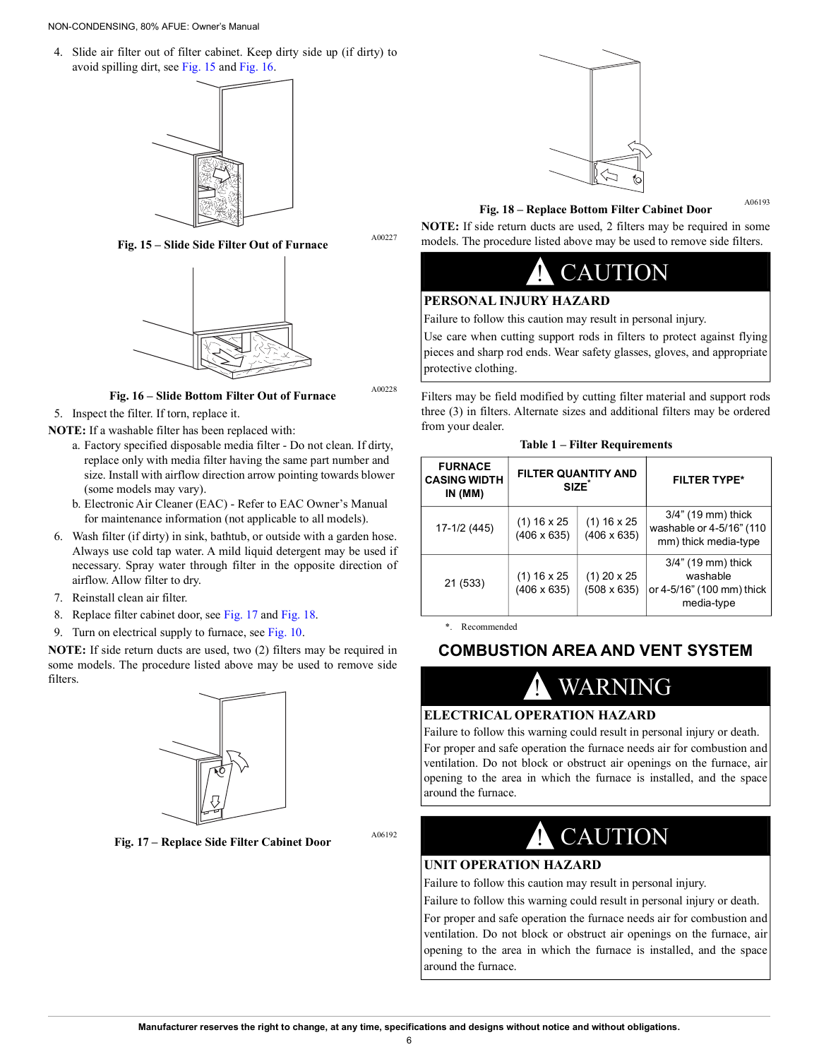NON-CONDENSING, 80% AFUE: Owner's Manual

4. Slide air filter out of filter cabinet. Keep dirty side up (if dirty) to avoid spilling dirt, see [Fig.](#page-5-4) 15 and [Fig.](#page-5-5) 16.



A00227 **Fig. 15 – Slide Side Filter Out of Furnace**

<span id="page-5-4"></span>

A00228 **Fig. 16 – Slide Bottom Filter Out of Furnace**

<span id="page-5-5"></span>5. Inspect the filter. If torn, replace it.

- **NOTE:** If a washable filter has been replaced with:
	- a. Factory specified disposable media filter Do not clean. If dirty, replace only with media filter having the same part number and size. Install with airflow direction arrow pointing towards blower (some models may vary).
	- b. Electronic Air Cleaner (EAC) Refer to EAC Owner's Manual for maintenance information (not applicable to all models).
- 6. Wash filter (if dirty) in sink, bathtub, or outside with a garden hose. Always use cold tap water. A mild liquid detergent may be used if necessary. Spray water through filter in the opposite direction of airflow. Allow filter to dry.
- 7. Reinstall clean air filter.
- 8. Replace filter cabinet door, see [Fig.](#page-5-6) 17 and [Fig.](#page-5-7) 18.
- 9. Turn on electrical supply to furnace, see [Fig.](#page-3-6) 10.

**NOTE:** If side return ducts are used, two (2) filters may be required in some models. The procedure listed above may be used to remove side filters.

<span id="page-5-6"></span>

A06192 **Fig. 17 – Replace Side Filter Cabinet Door**



A06193 **Fig. 18 – Replace Bottom Filter Cabinet Door**

<span id="page-5-7"></span>**NOTE:** If side return ducts are used, 2 filters may be required in some models. The procedure listed above may be used to remove side filters.

## **CAUTION**

#### <span id="page-5-0"></span>**PERSONAL INJURY HAZARD**

Failure to follow this caution may result in personal injury.

Use care when cutting support rods in filters to protect against flying pieces and sharp rod ends. Wear safety glasses, gloves, and appropriate protective clothing.

Filters may be field modified by cutting filter material and support rods three (3) in filters. Alternate sizes and additional filters may be ordered from your dealer.

| Table 1 – Filter Requirements |
|-------------------------------|
|-------------------------------|

| <b>FURNACE</b><br><b>CASING WIDTH</b><br>IN (MM) | <b>FILTER QUANTITY AND</b><br>SIZE <sup>*</sup> |                                     | <b>FILTER TYPE*</b>                                                       |
|--------------------------------------------------|-------------------------------------------------|-------------------------------------|---------------------------------------------------------------------------|
| 17-1/2 (445)                                     | $(1)$ 16 x 25<br>$(406 \times 635)$             | $(1)$ 16 x 25<br>$(406 \times 635)$ | 3/4" (19 mm) thick<br>washable or 4-5/16" (110<br>mm) thick media-type    |
| 21 (533)                                         | $(1)$ 16 x 25<br>$(406 \times 635)$             | $(1)$ 20 x 25<br>$(508 \times 635)$ | 3/4" (19 mm) thick<br>washable<br>or 4-5/16" (100 mm) thick<br>media-type |

\*. Recommended

## <span id="page-5-1"></span>**COMBUSTION AREA AND VENT SYSTEM**

# **WARNING**

#### <span id="page-5-2"></span>**ELECTRICAL OPERATION HAZARD**

Failure to follow this warning could result in personal injury or death. For proper and safe operation the furnace needs air for combustion and ventilation. Do not block or obstruct air openings on the furnace, air opening to the area in which the furnace is installed, and the space around the furnace.

# **CAUTION**

#### <span id="page-5-3"></span>**UNIT OPERATION HAZARD**

Failure to follow this caution may result in personal injury.

Failure to follow this warning could result in personal injury or death. For proper and safe operation the furnace needs air for combustion and ventilation. Do not block or obstruct air openings on the furnace, air opening to the area in which the furnace is installed, and the space around the furnace.

6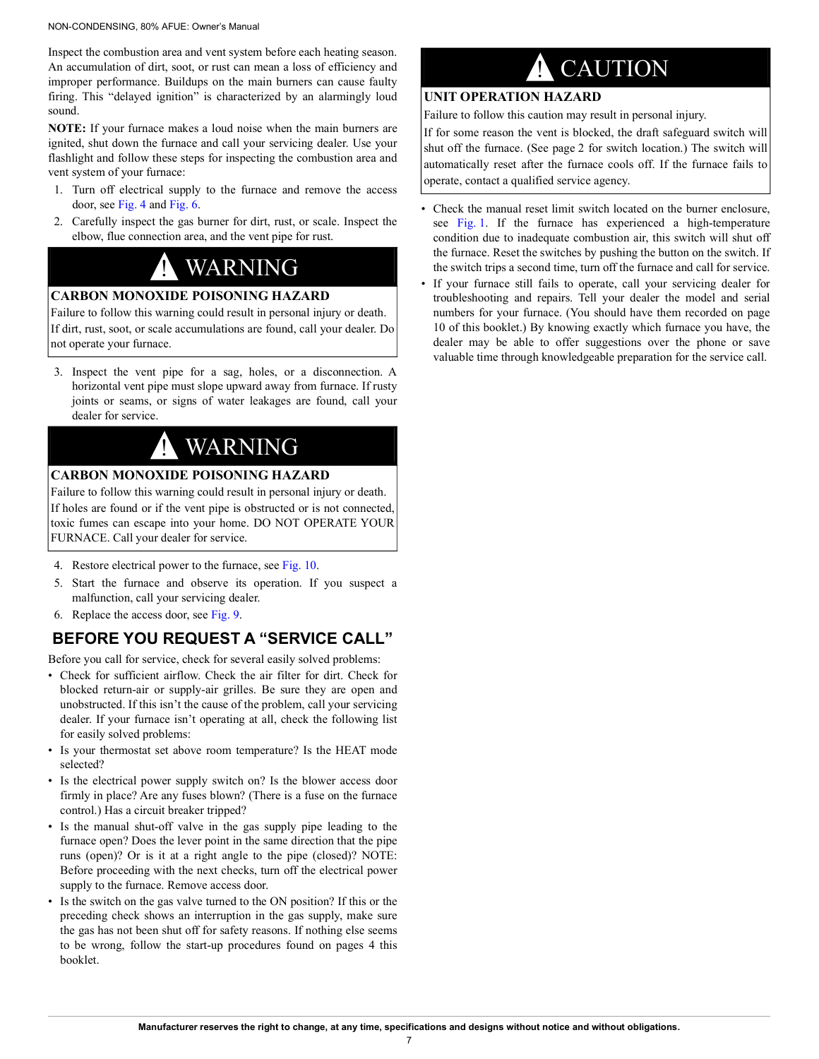NON-CONDENSING, 80% AFUE: Owner's Manual

Inspect the combustion area and vent system before each heating season. An accumulation of dirt, soot, or rust can mean a loss of efficiency and improper performance. Buildups on the main burners can cause faulty firing. This "delayed ignition" is characterized by an alarmingly loud sound.

**NOTE:** If your furnace makes a loud noise when the main burners are ignited, shut down the furnace and call your servicing dealer. Use your flashlight and follow these steps for inspecting the combustion area and vent system of your furnace:

- 1. Turn off electrical supply to the furnace and remove the access door, see [Fig.](#page-3-0) 4 and [Fig.](#page-3-2) 6.
- 2. Carefully inspect the gas burner for dirt, rust, or scale. Inspect the elbow, flue connection area, and the vent pipe for rust.

## **WARNING**

#### <span id="page-6-0"></span>**CARBON MONOXIDE POISONING HAZARD**

Failure to follow this warning could result in personal injury or death. If dirt, rust, soot, or scale accumulations are found, call your dealer. Do not operate your furnace.

3. Inspect the vent pipe for a sag, holes, or a disconnection. A horizontal vent pipe must slope upward away from furnace. If rusty joints or seams, or signs of water leakages are found, call your dealer for service.

# **WARNING**

#### <span id="page-6-1"></span>**CARBON MONOXIDE POISONING HAZARD**

Failure to follow this warning could result in personal injury or death. If holes are found or if the vent pipe is obstructed or is not connected, toxic fumes can escape into your home. DO NOT OPERATE YOUR FURNACE. Call your dealer for service.

- 4. Restore electrical power to the furnace, see [Fig.](#page-3-6) 10.
- 5. Start the furnace and observe its operation. If you suspect a malfunction, call your servicing dealer.
- 6. Replace the access door, see [Fig.](#page-3-5) 9.

## <span id="page-6-2"></span>**BEFORE YOU REQUEST A "SERVICE CALL"**

Before you call for service, check for several easily solved problems:

- Check for sufficient airflow. Check the air filter for dirt. Check for blocked return-air or supply-air grilles. Be sure they are open and unobstructed. If this isn't the cause of the problem, call your servicing dealer. If your furnace isn't operating at all, check the following list for easily solved problems:
- Is your thermostat set above room temperature? Is the HEAT mode selected?
- Is the electrical power supply switch on? Is the blower access door firmly in place? Are any fuses blown? (There is a fuse on the furnace control.) Has a circuit breaker tripped?
- Is the manual shut-off valve in the gas supply pipe leading to the furnace open? Does the lever point in the same direction that the pipe runs (open)? Or is it at a right angle to the pipe (closed)? NOTE: Before proceeding with the next checks, turn off the electrical power supply to the furnace. Remove access door.
- Is the switch on the gas valve turned to the ON position? If this or the preceding check shows an interruption in the gas supply, make sure the gas has not been shut off for safety reasons. If nothing else seems to be wrong, follow the start-up procedures found on pages 4 this booklet.

# **CAUTION**

#### <span id="page-6-3"></span>**UNIT OPERATION HAZARD**

Failure to follow this caution may result in personal injury.

If for some reason the vent is blocked, the draft safeguard switch will shut off the furnace. (See [page](#page-1-4) 2 for switch location.) The switch will automatically reset after the furnace cools off. If the furnace fails to operate, contact a qualified service agency.

- Check the manual reset limit switch located on the burner enclosure, see [Fig.](#page-1-4) 1. If the furnace has experienced a high-temperature condition due to inadequate combustion air, this switch will shut off the furnace. Reset the switches by pushing the button on the switch. If the switch trips a second time, turn off the furnace and call for service.
- If your furnace still fails to operate, call your servicing dealer for troubleshooting and repairs. Tell your dealer the model and serial numbers for your furnace. (You should have them recorded on page 10 of this booklet.) By knowing exactly which furnace you have, the dealer may be able to offer suggestions over the phone or save valuable time through knowledgeable preparation for the service call.